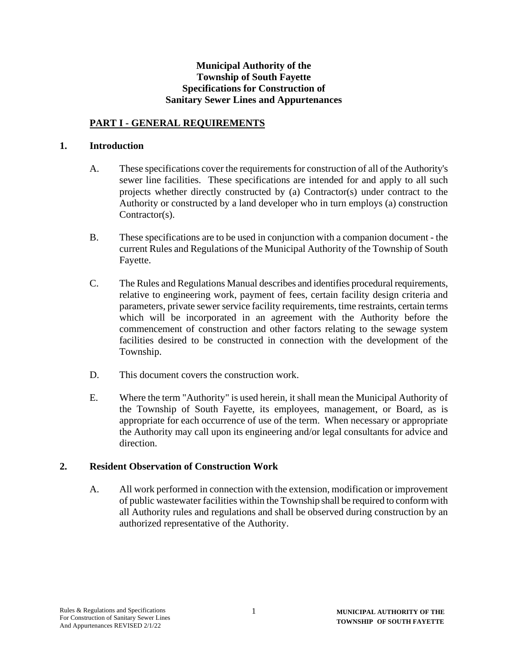#### **Municipal Authority of the Township of South Fayette Specifications for Construction of Sanitary Sewer Lines and Appurtenances**

### **PART I - GENERAL REQUIREMENTS**

#### **1. Introduction**

- A. These specifications cover the requirements for construction of all of the Authority's sewer line facilities. These specifications are intended for and apply to all such projects whether directly constructed by (a) Contractor(s) under contract to the Authority or constructed by a land developer who in turn employs (a) construction Contractor(s).
- B. These specifications are to be used in conjunction with a companion document the current Rules and Regulations of the Municipal Authority of the Township of South Fayette.
- C. The Rules and Regulations Manual describes and identifies procedural requirements, relative to engineering work, payment of fees, certain facility design criteria and parameters, private sewer service facility requirements, time restraints, certain terms which will be incorporated in an agreement with the Authority before the commencement of construction and other factors relating to the sewage system facilities desired to be constructed in connection with the development of the Township.
- D. This document covers the construction work.
- E. Where the term "Authority" is used herein, it shall mean the Municipal Authority of the Township of South Fayette, its employees, management, or Board, as is appropriate for each occurrence of use of the term. When necessary or appropriate the Authority may call upon its engineering and/or legal consultants for advice and direction.

#### **2. Resident Observation of Construction Work**

A. All work performed in connection with the extension, modification or improvement of public wastewater facilities within the Township shall be required to conform with all Authority rules and regulations and shall be observed during construction by an authorized representative of the Authority.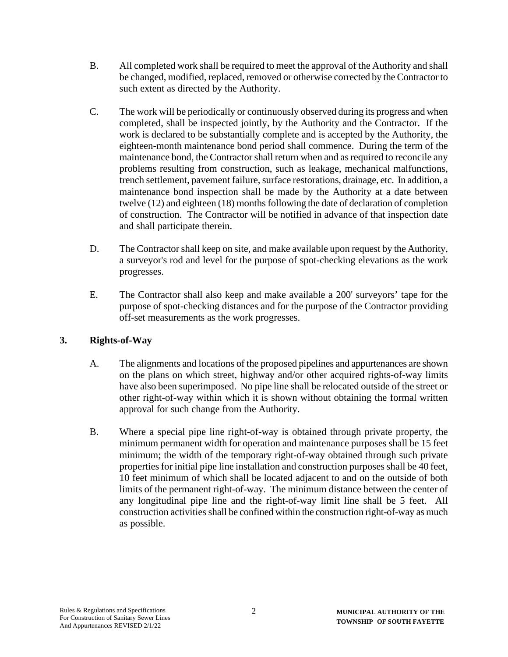- B. All completed work shall be required to meet the approval of the Authority and shall be changed, modified, replaced, removed or otherwise corrected by the Contractor to such extent as directed by the Authority.
- C. The work will be periodically or continuously observed during its progress and when completed, shall be inspected jointly, by the Authority and the Contractor. If the work is declared to be substantially complete and is accepted by the Authority, the eighteen-month maintenance bond period shall commence. During the term of the maintenance bond, the Contractor shall return when and as required to reconcile any problems resulting from construction, such as leakage, mechanical malfunctions, trench settlement, pavement failure, surface restorations, drainage, etc. In addition, a maintenance bond inspection shall be made by the Authority at a date between twelve (12) and eighteen (18) months following the date of declaration of completion of construction. The Contractor will be notified in advance of that inspection date and shall participate therein.
- D. The Contractor shall keep on site, and make available upon request by the Authority, a surveyor's rod and level for the purpose of spot-checking elevations as the work progresses.
- E. The Contractor shall also keep and make available a 200' surveyors' tape for the purpose of spot-checking distances and for the purpose of the Contractor providing off-set measurements as the work progresses.

# **3. Rights-of-Way**

- A. The alignments and locations of the proposed pipelines and appurtenances are shown on the plans on which street, highway and/or other acquired rights-of-way limits have also been superimposed. No pipe line shall be relocated outside of the street or other right-of-way within which it is shown without obtaining the formal written approval for such change from the Authority.
- B. Where a special pipe line right-of-way is obtained through private property, the minimum permanent width for operation and maintenance purposes shall be 15 feet minimum; the width of the temporary right-of-way obtained through such private properties for initial pipe line installation and construction purposes shall be 40 feet, 10 feet minimum of which shall be located adjacent to and on the outside of both limits of the permanent right-of-way. The minimum distance between the center of any longitudinal pipe line and the right-of-way limit line shall be 5 feet. All construction activities shall be confined within the construction right-of-way as much as possible.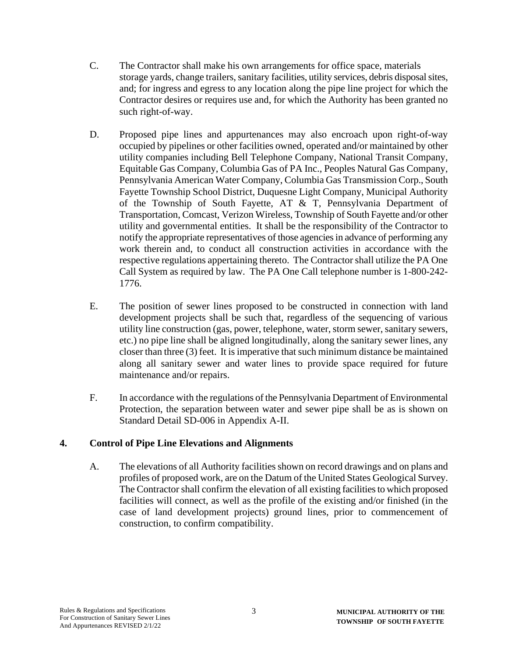- C. The Contractor shall make his own arrangements for office space, materials storage yards, change trailers, sanitary facilities, utility services, debris disposal sites, and; for ingress and egress to any location along the pipe line project for which the Contractor desires or requires use and, for which the Authority has been granted no such right-of-way.
- D. Proposed pipe lines and appurtenances may also encroach upon right-of-way occupied by pipelines or other facilities owned, operated and/or maintained by other utility companies including Bell Telephone Company, National Transit Company, Equitable Gas Company, Columbia Gas of PA Inc., Peoples Natural Gas Company, Pennsylvania American Water Company, Columbia Gas Transmission Corp., South Fayette Township School District, Duquesne Light Company, Municipal Authority of the Township of South Fayette, AT & T, Pennsylvania Department of Transportation, Comcast, Verizon Wireless, Township of South Fayette and/or other utility and governmental entities. It shall be the responsibility of the Contractor to notify the appropriate representatives of those agencies in advance of performing any work therein and, to conduct all construction activities in accordance with the respective regulations appertaining thereto. The Contractor shall utilize the PA One Call System as required by law. The PA One Call telephone number is 1-800-242- 1776.
- E. The position of sewer lines proposed to be constructed in connection with land development projects shall be such that, regardless of the sequencing of various utility line construction (gas, power, telephone, water, storm sewer, sanitary sewers, etc.) no pipe line shall be aligned longitudinally, along the sanitary sewer lines, any closer than three (3) feet. It is imperative that such minimum distance be maintained along all sanitary sewer and water lines to provide space required for future maintenance and/or repairs.
- F. In accordance with the regulations of the Pennsylvania Department of Environmental Protection, the separation between water and sewer pipe shall be as is shown on Standard Detail SD-006 in Appendix A-II.

# **4. Control of Pipe Line Elevations and Alignments**

A. The elevations of all Authority facilities shown on record drawings and on plans and profiles of proposed work, are on the Datum of the United States Geological Survey. The Contractor shall confirm the elevation of all existing facilities to which proposed facilities will connect, as well as the profile of the existing and/or finished (in the case of land development projects) ground lines, prior to commencement of construction, to confirm compatibility.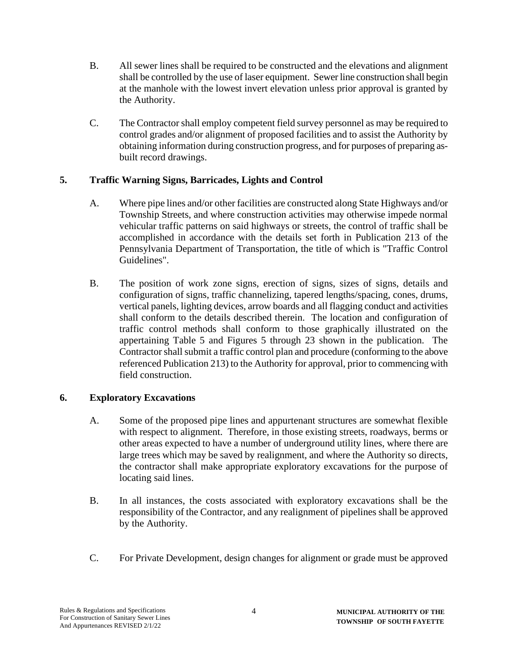- B. All sewer lines shall be required to be constructed and the elevations and alignment shall be controlled by the use of laser equipment. Sewer line construction shall begin at the manhole with the lowest invert elevation unless prior approval is granted by the Authority.
- C. The Contractor shall employ competent field survey personnel as may be required to control grades and/or alignment of proposed facilities and to assist the Authority by obtaining information during construction progress, and for purposes of preparing asbuilt record drawings.

# **5. Traffic Warning Signs, Barricades, Lights and Control**

- A. Where pipe lines and/or other facilities are constructed along State Highways and/or Township Streets, and where construction activities may otherwise impede normal vehicular traffic patterns on said highways or streets, the control of traffic shall be accomplished in accordance with the details set forth in Publication 213 of the Pennsylvania Department of Transportation, the title of which is "Traffic Control Guidelines".
- B. The position of work zone signs, erection of signs, sizes of signs, details and configuration of signs, traffic channelizing, tapered lengths/spacing, cones, drums, vertical panels, lighting devices, arrow boards and all flagging conduct and activities shall conform to the details described therein. The location and configuration of traffic control methods shall conform to those graphically illustrated on the appertaining Table 5 and Figures 5 through 23 shown in the publication. The Contractor shall submit a traffic control plan and procedure (conforming to the above referenced Publication 213) to the Authority for approval, prior to commencing with field construction.

# **6. Exploratory Excavations**

- A. Some of the proposed pipe lines and appurtenant structures are somewhat flexible with respect to alignment. Therefore, in those existing streets, roadways, berms or other areas expected to have a number of underground utility lines, where there are large trees which may be saved by realignment, and where the Authority so directs, the contractor shall make appropriate exploratory excavations for the purpose of locating said lines.
- B. In all instances, the costs associated with exploratory excavations shall be the responsibility of the Contractor, and any realignment of pipelines shall be approved by the Authority.
- C. For Private Development, design changes for alignment or grade must be approved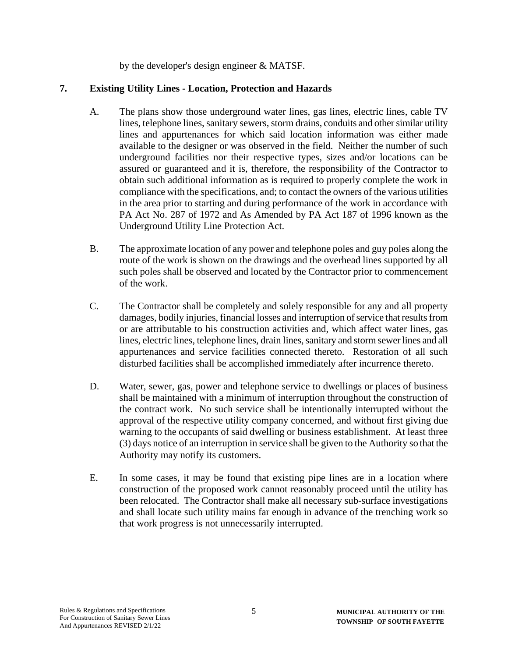by the developer's design engineer & MATSF.

## **7. Existing Utility Lines - Location, Protection and Hazards**

- A. The plans show those underground water lines, gas lines, electric lines, cable TV lines, telephone lines, sanitary sewers, storm drains, conduits and other similar utility lines and appurtenances for which said location information was either made available to the designer or was observed in the field. Neither the number of such underground facilities nor their respective types, sizes and/or locations can be assured or guaranteed and it is, therefore, the responsibility of the Contractor to obtain such additional information as is required to properly complete the work in compliance with the specifications, and; to contact the owners of the various utilities in the area prior to starting and during performance of the work in accordance with PA Act No. 287 of 1972 and As Amended by PA Act 187 of 1996 known as the Underground Utility Line Protection Act.
- B. The approximate location of any power and telephone poles and guy poles along the route of the work is shown on the drawings and the overhead lines supported by all such poles shall be observed and located by the Contractor prior to commencement of the work.
- C. The Contractor shall be completely and solely responsible for any and all property damages, bodily injuries, financial losses and interruption of service that results from or are attributable to his construction activities and, which affect water lines, gas lines, electric lines, telephone lines, drain lines, sanitary and storm sewer lines and all appurtenances and service facilities connected thereto. Restoration of all such disturbed facilities shall be accomplished immediately after incurrence thereto.
- D. Water, sewer, gas, power and telephone service to dwellings or places of business shall be maintained with a minimum of interruption throughout the construction of the contract work. No such service shall be intentionally interrupted without the approval of the respective utility company concerned, and without first giving due warning to the occupants of said dwelling or business establishment. At least three (3) days notice of an interruption in service shall be given to the Authority so that the Authority may notify its customers.
- E. In some cases, it may be found that existing pipe lines are in a location where construction of the proposed work cannot reasonably proceed until the utility has been relocated. The Contractor shall make all necessary sub-surface investigations and shall locate such utility mains far enough in advance of the trenching work so that work progress is not unnecessarily interrupted.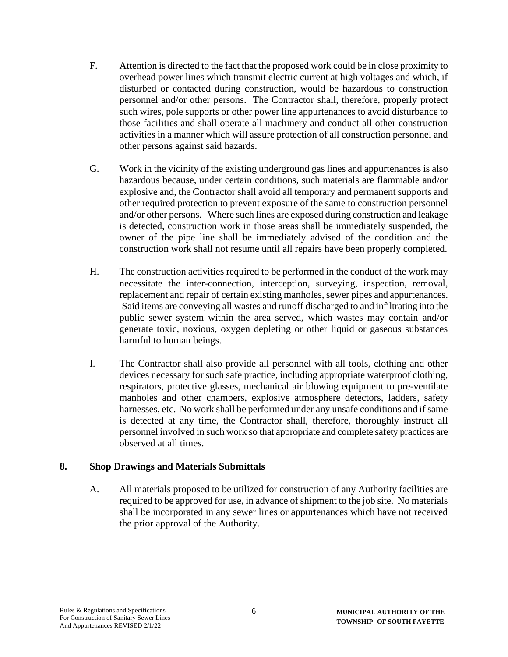- F. Attention is directed to the fact that the proposed work could be in close proximity to overhead power lines which transmit electric current at high voltages and which, if disturbed or contacted during construction, would be hazardous to construction personnel and/or other persons. The Contractor shall, therefore, properly protect such wires, pole supports or other power line appurtenances to avoid disturbance to those facilities and shall operate all machinery and conduct all other construction activities in a manner which will assure protection of all construction personnel and other persons against said hazards.
- G. Work in the vicinity of the existing underground gas lines and appurtenances is also hazardous because, under certain conditions, such materials are flammable and/or explosive and, the Contractor shall avoid all temporary and permanent supports and other required protection to prevent exposure of the same to construction personnel and/or other persons. Where such lines are exposed during construction and leakage is detected, construction work in those areas shall be immediately suspended, the owner of the pipe line shall be immediately advised of the condition and the construction work shall not resume until all repairs have been properly completed.
- H. The construction activities required to be performed in the conduct of the work may necessitate the inter-connection, interception, surveying, inspection, removal, replacement and repair of certain existing manholes, sewer pipes and appurtenances. Said items are conveying all wastes and runoff discharged to and infiltrating into the public sewer system within the area served, which wastes may contain and/or generate toxic, noxious, oxygen depleting or other liquid or gaseous substances harmful to human beings.
- I. The Contractor shall also provide all personnel with all tools, clothing and other devices necessary for such safe practice, including appropriate waterproof clothing, respirators, protective glasses, mechanical air blowing equipment to pre-ventilate manholes and other chambers, explosive atmosphere detectors, ladders, safety harnesses, etc. No work shall be performed under any unsafe conditions and if same is detected at any time, the Contractor shall, therefore, thoroughly instruct all personnel involved in such work so that appropriate and complete safety practices are observed at all times.

#### **8. Shop Drawings and Materials Submittals**

A. All materials proposed to be utilized for construction of any Authority facilities are required to be approved for use, in advance of shipment to the job site. No materials shall be incorporated in any sewer lines or appurtenances which have not received the prior approval of the Authority.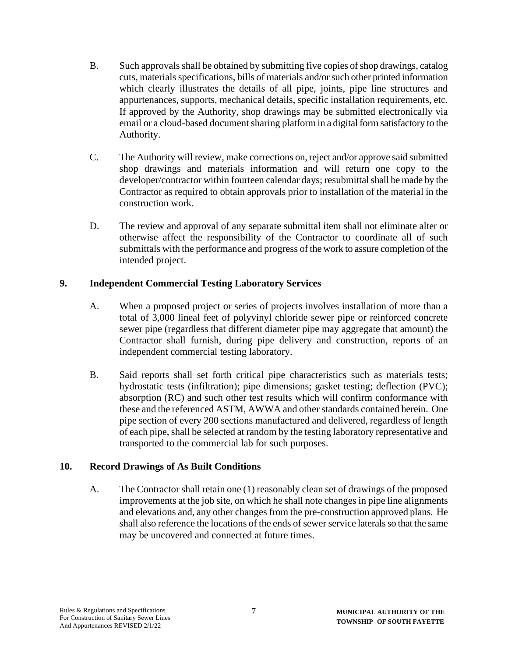- B. Such approvals shall be obtained by submitting five copies of shop drawings, catalog cuts, materials specifications, bills of materials and/or such other printed information which clearly illustrates the details of all pipe, joints, pipe line structures and appurtenances, supports, mechanical details, specific installation requirements, etc. If approved by the Authority, shop drawings may be submitted electronically via email or a cloud-based document sharing platform in a digital form satisfactory to the Authority.
- C. The Authority will review, make corrections on, reject and/or approve said submitted shop drawings and materials information and will return one copy to the developer/contractor within fourteen calendar days; resubmittal shall be made by the Contractor as required to obtain approvals prior to installation of the material in the construction work.
- D. The review and approval of any separate submittal item shall not eliminate alter or otherwise affect the responsibility of the Contractor to coordinate all of such submittals with the performance and progress of the work to assure completion of the intended project.

#### **9. Independent Commercial Testing Laboratory Services**

- A. When a proposed project or series of projects involves installation of more than a total of 3,000 lineal feet of polyvinyl chloride sewer pipe or reinforced concrete sewer pipe (regardless that different diameter pipe may aggregate that amount) the Contractor shall furnish, during pipe delivery and construction, reports of an independent commercial testing laboratory.
- B. Said reports shall set forth critical pipe characteristics such as materials tests; hydrostatic tests (infiltration); pipe dimensions; gasket testing; deflection (PVC); absorption (RC) and such other test results which will confirm conformance with these and the referenced ASTM, AWWA and other standards contained herein. One pipe section of every 200 sections manufactured and delivered, regardless of length of each pipe, shall be selected at random by the testing laboratory representative and transported to the commercial lab for such purposes.

#### **10. Record Drawings of As Built Conditions**

A. The Contractor shall retain one (1) reasonably clean set of drawings of the proposed improvements at the job site, on which he shall note changes in pipe line alignments and elevations and, any other changes from the pre-construction approved plans. He shall also reference the locations of the ends of sewer service laterals so that the same may be uncovered and connected at future times.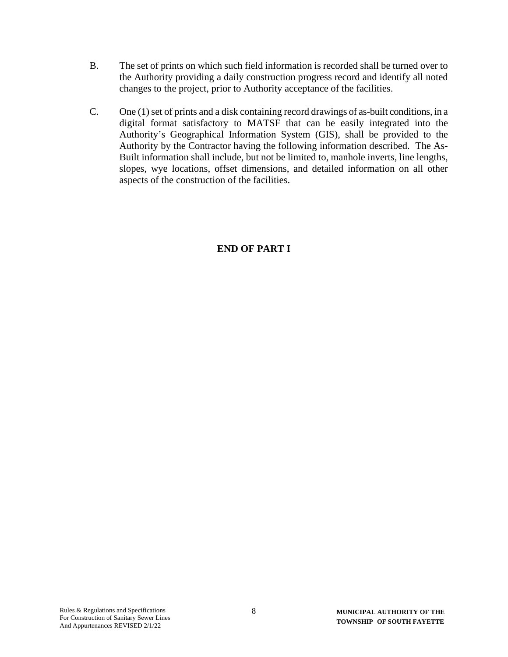- B. The set of prints on which such field information is recorded shall be turned over to the Authority providing a daily construction progress record and identify all noted changes to the project, prior to Authority acceptance of the facilities.
- C. One (1) set of prints and a disk containing record drawings of as-built conditions, in a digital format satisfactory to MATSF that can be easily integrated into the Authority's Geographical Information System (GIS), shall be provided to the Authority by the Contractor having the following information described. The As-Built information shall include, but not be limited to, manhole inverts, line lengths, slopes, wye locations, offset dimensions, and detailed information on all other aspects of the construction of the facilities.

# **END OF PART I**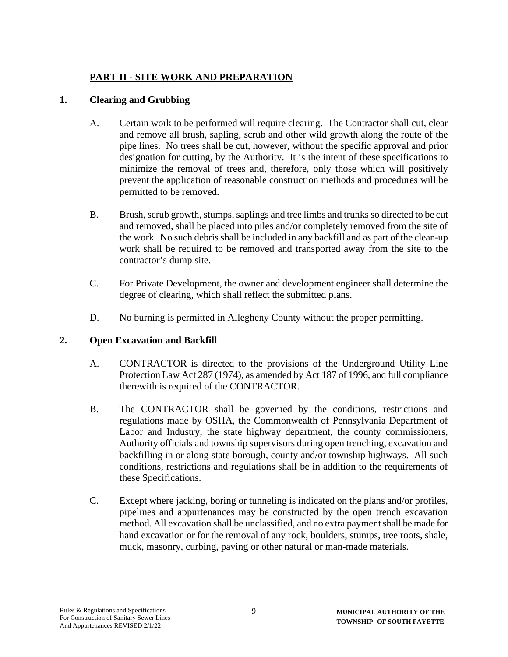# **PART II - SITE WORK AND PREPARATION**

## **1. Clearing and Grubbing**

- A. Certain work to be performed will require clearing. The Contractor shall cut, clear and remove all brush, sapling, scrub and other wild growth along the route of the pipe lines. No trees shall be cut, however, without the specific approval and prior designation for cutting, by the Authority. It is the intent of these specifications to minimize the removal of trees and, therefore, only those which will positively prevent the application of reasonable construction methods and procedures will be permitted to be removed.
- B. Brush, scrub growth, stumps, saplings and tree limbs and trunks so directed to be cut and removed, shall be placed into piles and/or completely removed from the site of the work. No such debris shall be included in any backfill and as part of the clean-up work shall be required to be removed and transported away from the site to the contractor's dump site.
- C. For Private Development, the owner and development engineer shall determine the degree of clearing, which shall reflect the submitted plans.
- D. No burning is permitted in Allegheny County without the proper permitting.

#### **2. Open Excavation and Backfill**

- A. CONTRACTOR is directed to the provisions of the Underground Utility Line Protection Law Act 287 (1974), as amended by Act 187 of 1996, and full compliance therewith is required of the CONTRACTOR.
- B. The CONTRACTOR shall be governed by the conditions, restrictions and regulations made by OSHA, the Commonwealth of Pennsylvania Department of Labor and Industry, the state highway department, the county commissioners, Authority officials and township supervisors during open trenching, excavation and backfilling in or along state borough, county and/or township highways. All such conditions, restrictions and regulations shall be in addition to the requirements of these Specifications.
- C. Except where jacking, boring or tunneling is indicated on the plans and/or profiles, pipelines and appurtenances may be constructed by the open trench excavation method. All excavation shall be unclassified, and no extra payment shall be made for hand excavation or for the removal of any rock, boulders, stumps, tree roots, shale, muck, masonry, curbing, paving or other natural or man-made materials.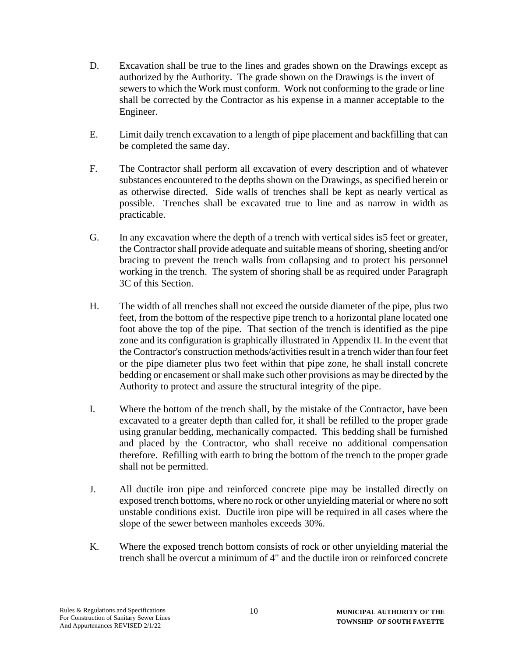- D. Excavation shall be true to the lines and grades shown on the Drawings except as authorized by the Authority. The grade shown on the Drawings is the invert of sewers to which the Work must conform. Work not conforming to the grade or line shall be corrected by the Contractor as his expense in a manner acceptable to the Engineer.
- E. Limit daily trench excavation to a length of pipe placement and backfilling that can be completed the same day.
- F. The Contractor shall perform all excavation of every description and of whatever substances encountered to the depths shown on the Drawings, as specified herein or as otherwise directed. Side walls of trenches shall be kept as nearly vertical as possible. Trenches shall be excavated true to line and as narrow in width as practicable.
- G. In any excavation where the depth of a trench with vertical sides is5 feet or greater, the Contractor shall provide adequate and suitable means of shoring, sheeting and/or bracing to prevent the trench walls from collapsing and to protect his personnel working in the trench. The system of shoring shall be as required under Paragraph 3C of this Section.
- H. The width of all trenches shall not exceed the outside diameter of the pipe, plus two feet, from the bottom of the respective pipe trench to a horizontal plane located one foot above the top of the pipe. That section of the trench is identified as the pipe zone and its configuration is graphically illustrated in Appendix II. In the event that the Contractor's construction methods/activities result in a trench wider than four feet or the pipe diameter plus two feet within that pipe zone, he shall install concrete bedding or encasement or shall make such other provisions as may be directed by the Authority to protect and assure the structural integrity of the pipe.
- I. Where the bottom of the trench shall, by the mistake of the Contractor, have been excavated to a greater depth than called for, it shall be refilled to the proper grade using granular bedding, mechanically compacted. This bedding shall be furnished and placed by the Contractor, who shall receive no additional compensation therefore. Refilling with earth to bring the bottom of the trench to the proper grade shall not be permitted.
- J. All ductile iron pipe and reinforced concrete pipe may be installed directly on exposed trench bottoms, where no rock or other unyielding material or where no soft unstable conditions exist. Ductile iron pipe will be required in all cases where the slope of the sewer between manholes exceeds 30%.
- K. Where the exposed trench bottom consists of rock or other unyielding material the trench shall be overcut a minimum of 4" and the ductile iron or reinforced concrete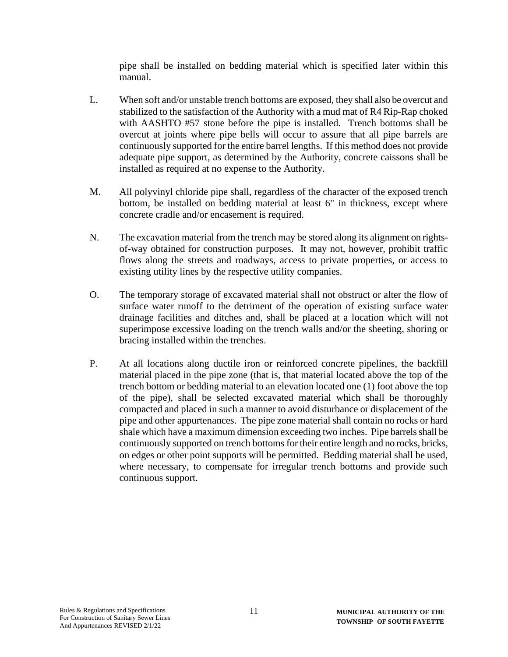pipe shall be installed on bedding material which is specified later within this manual.

- L. When soft and/or unstable trench bottoms are exposed, they shall also be overcut and stabilized to the satisfaction of the Authority with a mud mat of R4 Rip-Rap choked with AASHTO #57 stone before the pipe is installed. Trench bottoms shall be overcut at joints where pipe bells will occur to assure that all pipe barrels are continuously supported for the entire barrel lengths. If this method does not provide adequate pipe support, as determined by the Authority, concrete caissons shall be installed as required at no expense to the Authority.
- M. All polyvinyl chloride pipe shall, regardless of the character of the exposed trench bottom, be installed on bedding material at least 6" in thickness, except where concrete cradle and/or encasement is required.
- N. The excavation material from the trench may be stored along its alignment on rightsof-way obtained for construction purposes. It may not, however, prohibit traffic flows along the streets and roadways, access to private properties, or access to existing utility lines by the respective utility companies.
- O. The temporary storage of excavated material shall not obstruct or alter the flow of surface water runoff to the detriment of the operation of existing surface water drainage facilities and ditches and, shall be placed at a location which will not superimpose excessive loading on the trench walls and/or the sheeting, shoring or bracing installed within the trenches.
- P. At all locations along ductile iron or reinforced concrete pipelines, the backfill material placed in the pipe zone (that is, that material located above the top of the trench bottom or bedding material to an elevation located one (1) foot above the top of the pipe), shall be selected excavated material which shall be thoroughly compacted and placed in such a manner to avoid disturbance or displacement of the pipe and other appurtenances. The pipe zone material shall contain no rocks or hard shale which have a maximum dimension exceeding two inches. Pipe barrels shall be continuously supported on trench bottoms for their entire length and no rocks, bricks, on edges or other point supports will be permitted. Bedding material shall be used, where necessary, to compensate for irregular trench bottoms and provide such continuous support.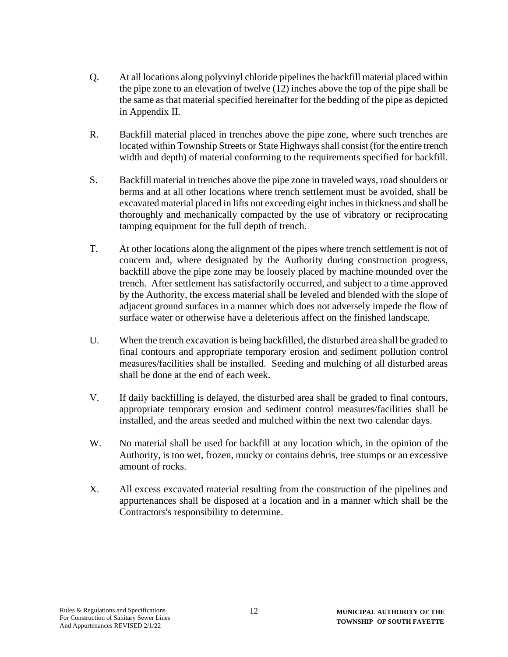- Q. At all locations along polyvinyl chloride pipelines the backfill material placed within the pipe zone to an elevation of twelve (12) inches above the top of the pipe shall be the same as that material specified hereinafter for the bedding of the pipe as depicted in Appendix II.
- R. Backfill material placed in trenches above the pipe zone, where such trenches are located within Township Streets or State Highways shall consist (for the entire trench width and depth) of material conforming to the requirements specified for backfill.
- S. Backfill material in trenches above the pipe zone in traveled ways, road shoulders or berms and at all other locations where trench settlement must be avoided, shall be excavated material placed in lifts not exceeding eight inches in thickness and shall be thoroughly and mechanically compacted by the use of vibratory or reciprocating tamping equipment for the full depth of trench.
- T. At other locations along the alignment of the pipes where trench settlement is not of concern and, where designated by the Authority during construction progress, backfill above the pipe zone may be loosely placed by machine mounded over the trench. After settlement has satisfactorily occurred, and subject to a time approved by the Authority, the excess material shall be leveled and blended with the slope of adjacent ground surfaces in a manner which does not adversely impede the flow of surface water or otherwise have a deleterious affect on the finished landscape.
- U. When the trench excavation is being backfilled, the disturbed area shall be graded to final contours and appropriate temporary erosion and sediment pollution control measures/facilities shall be installed. Seeding and mulching of all disturbed areas shall be done at the end of each week.
- V. If daily backfilling is delayed, the disturbed area shall be graded to final contours, appropriate temporary erosion and sediment control measures/facilities shall be installed, and the areas seeded and mulched within the next two calendar days.
- W. No material shall be used for backfill at any location which, in the opinion of the Authority, is too wet, frozen, mucky or contains debris, tree stumps or an excessive amount of rocks.
- X. All excess excavated material resulting from the construction of the pipelines and appurtenances shall be disposed at a location and in a manner which shall be the Contractors's responsibility to determine.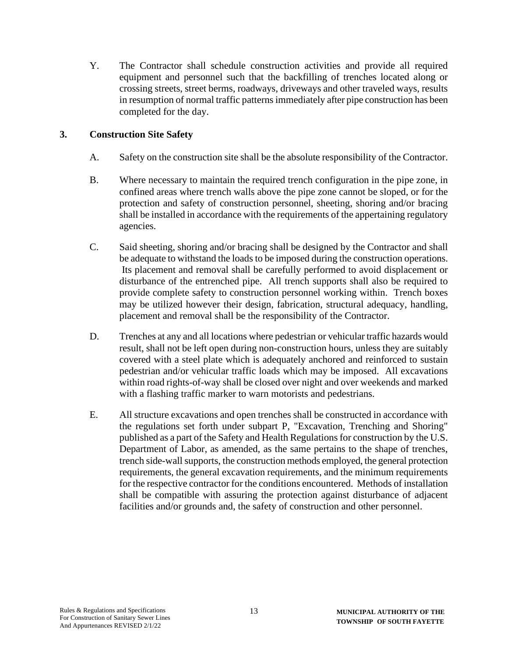Y. The Contractor shall schedule construction activities and provide all required equipment and personnel such that the backfilling of trenches located along or crossing streets, street berms, roadways, driveways and other traveled ways, results in resumption of normal traffic patterns immediately after pipe construction has been completed for the day.

#### **3. Construction Site Safety**

- A. Safety on the construction site shall be the absolute responsibility of the Contractor.
- B. Where necessary to maintain the required trench configuration in the pipe zone, in confined areas where trench walls above the pipe zone cannot be sloped, or for the protection and safety of construction personnel, sheeting, shoring and/or bracing shall be installed in accordance with the requirements of the appertaining regulatory agencies.
- C. Said sheeting, shoring and/or bracing shall be designed by the Contractor and shall be adequate to withstand the loads to be imposed during the construction operations. Its placement and removal shall be carefully performed to avoid displacement or disturbance of the entrenched pipe. All trench supports shall also be required to provide complete safety to construction personnel working within. Trench boxes may be utilized however their design, fabrication, structural adequacy, handling, placement and removal shall be the responsibility of the Contractor.
- D. Trenches at any and all locations where pedestrian or vehicular traffic hazards would result, shall not be left open during non-construction hours, unless they are suitably covered with a steel plate which is adequately anchored and reinforced to sustain pedestrian and/or vehicular traffic loads which may be imposed. All excavations within road rights-of-way shall be closed over night and over weekends and marked with a flashing traffic marker to warn motorists and pedestrians.
- E. All structure excavations and open trenches shall be constructed in accordance with the regulations set forth under subpart P, "Excavation, Trenching and Shoring" published as a part of the Safety and Health Regulations for construction by the U.S. Department of Labor, as amended, as the same pertains to the shape of trenches, trench side-wall supports, the construction methods employed, the general protection requirements, the general excavation requirements, and the minimum requirements for the respective contractor for the conditions encountered. Methods of installation shall be compatible with assuring the protection against disturbance of adjacent facilities and/or grounds and, the safety of construction and other personnel.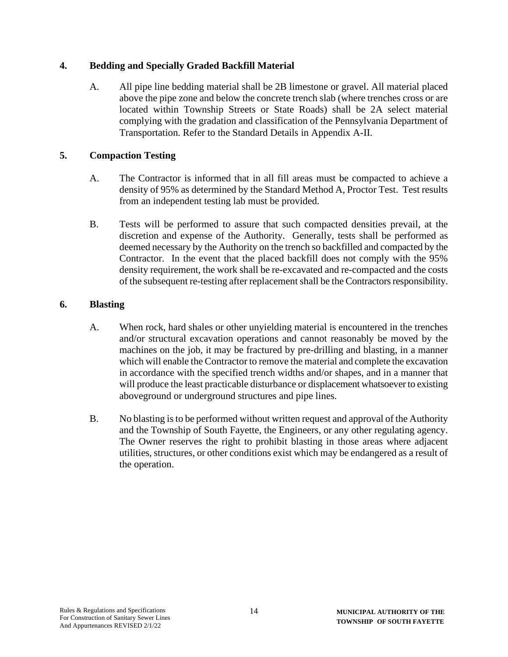# **4. Bedding and Specially Graded Backfill Material**

A. All pipe line bedding material shall be 2B limestone or gravel. All material placed above the pipe zone and below the concrete trench slab (where trenches cross or are located within Township Streets or State Roads) shall be 2A select material complying with the gradation and classification of the Pennsylvania Department of Transportation. Refer to the Standard Details in Appendix A-II.

# **5. Compaction Testing**

- A. The Contractor is informed that in all fill areas must be compacted to achieve a density of 95% as determined by the Standard Method A, Proctor Test. Test results from an independent testing lab must be provided.
- B. Tests will be performed to assure that such compacted densities prevail, at the discretion and expense of the Authority. Generally, tests shall be performed as deemed necessary by the Authority on the trench so backfilled and compacted by the Contractor. In the event that the placed backfill does not comply with the 95% density requirement, the work shall be re-excavated and re-compacted and the costs of the subsequent re-testing after replacement shall be the Contractors responsibility.

## **6. Blasting**

- A. When rock, hard shales or other unyielding material is encountered in the trenches and/or structural excavation operations and cannot reasonably be moved by the machines on the job, it may be fractured by pre-drilling and blasting, in a manner which will enable the Contractor to remove the material and complete the excavation in accordance with the specified trench widths and/or shapes, and in a manner that will produce the least practicable disturbance or displacement whatsoever to existing aboveground or underground structures and pipe lines.
- B. No blasting is to be performed without written request and approval of the Authority and the Township of South Fayette, the Engineers, or any other regulating agency. The Owner reserves the right to prohibit blasting in those areas where adjacent utilities, structures, or other conditions exist which may be endangered as a result of the operation.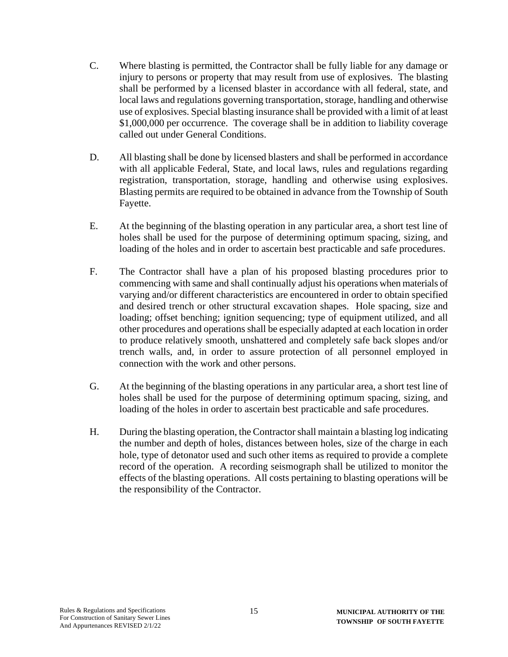- C. Where blasting is permitted, the Contractor shall be fully liable for any damage or injury to persons or property that may result from use of explosives. The blasting shall be performed by a licensed blaster in accordance with all federal, state, and local laws and regulations governing transportation, storage, handling and otherwise use of explosives. Special blasting insurance shall be provided with a limit of at least \$1,000,000 per occurrence. The coverage shall be in addition to liability coverage called out under General Conditions.
- D. All blasting shall be done by licensed blasters and shall be performed in accordance with all applicable Federal, State, and local laws, rules and regulations regarding registration, transportation, storage, handling and otherwise using explosives. Blasting permits are required to be obtained in advance from the Township of South Fayette.
- E. At the beginning of the blasting operation in any particular area, a short test line of holes shall be used for the purpose of determining optimum spacing, sizing, and loading of the holes and in order to ascertain best practicable and safe procedures.
- F. The Contractor shall have a plan of his proposed blasting procedures prior to commencing with same and shall continually adjust his operations when materials of varying and/or different characteristics are encountered in order to obtain specified and desired trench or other structural excavation shapes. Hole spacing, size and loading; offset benching; ignition sequencing; type of equipment utilized, and all other procedures and operations shall be especially adapted at each location in order to produce relatively smooth, unshattered and completely safe back slopes and/or trench walls, and, in order to assure protection of all personnel employed in connection with the work and other persons.
- G. At the beginning of the blasting operations in any particular area, a short test line of holes shall be used for the purpose of determining optimum spacing, sizing, and loading of the holes in order to ascertain best practicable and safe procedures.
- H. During the blasting operation, the Contractor shall maintain a blasting log indicating the number and depth of holes, distances between holes, size of the charge in each hole, type of detonator used and such other items as required to provide a complete record of the operation. A recording seismograph shall be utilized to monitor the effects of the blasting operations. All costs pertaining to blasting operations will be the responsibility of the Contractor.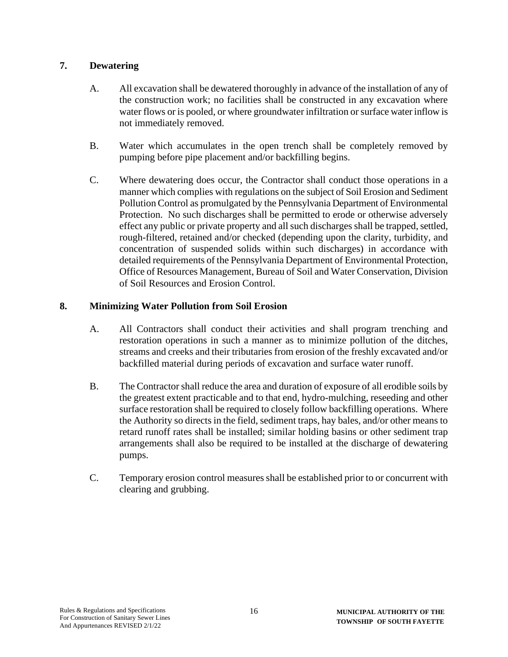## **7. Dewatering**

- A. All excavation shall be dewatered thoroughly in advance of the installation of any of the construction work; no facilities shall be constructed in any excavation where water flows or is pooled, or where groundwater infiltration or surface water inflow is not immediately removed.
- B. Water which accumulates in the open trench shall be completely removed by pumping before pipe placement and/or backfilling begins.
- C. Where dewatering does occur, the Contractor shall conduct those operations in a manner which complies with regulations on the subject of Soil Erosion and Sediment Pollution Control as promulgated by the Pennsylvania Department of Environmental Protection. No such discharges shall be permitted to erode or otherwise adversely effect any public or private property and all such discharges shall be trapped, settled, rough-filtered, retained and/or checked (depending upon the clarity, turbidity, and concentration of suspended solids within such discharges) in accordance with detailed requirements of the Pennsylvania Department of Environmental Protection, Office of Resources Management, Bureau of Soil and Water Conservation, Division of Soil Resources and Erosion Control.

## **8. Minimizing Water Pollution from Soil Erosion**

- A. All Contractors shall conduct their activities and shall program trenching and restoration operations in such a manner as to minimize pollution of the ditches, streams and creeks and their tributaries from erosion of the freshly excavated and/or backfilled material during periods of excavation and surface water runoff.
- B. The Contractor shall reduce the area and duration of exposure of all erodible soils by the greatest extent practicable and to that end, hydro-mulching, reseeding and other surface restoration shall be required to closely follow backfilling operations. Where the Authority so directs in the field, sediment traps, hay bales, and/or other means to retard runoff rates shall be installed; similar holding basins or other sediment trap arrangements shall also be required to be installed at the discharge of dewatering pumps.
- C. Temporary erosion control measures shall be established prior to or concurrent with clearing and grubbing.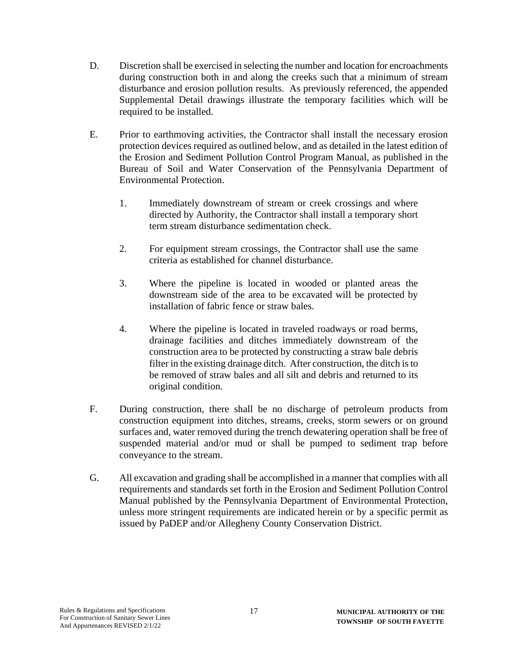- D. Discretion shall be exercised in selecting the number and location for encroachments during construction both in and along the creeks such that a minimum of stream disturbance and erosion pollution results. As previously referenced, the appended Supplemental Detail drawings illustrate the temporary facilities which will be required to be installed.
- E. Prior to earthmoving activities, the Contractor shall install the necessary erosion protection devices required as outlined below, and as detailed in the latest edition of the Erosion and Sediment Pollution Control Program Manual, as published in the Bureau of Soil and Water Conservation of the Pennsylvania Department of Environmental Protection.
	- 1. Immediately downstream of stream or creek crossings and where directed by Authority, the Contractor shall install a temporary short term stream disturbance sedimentation check.
	- 2. For equipment stream crossings, the Contractor shall use the same criteria as established for channel disturbance.
	- 3. Where the pipeline is located in wooded or planted areas the downstream side of the area to be excavated will be protected by installation of fabric fence or straw bales.
	- 4. Where the pipeline is located in traveled roadways or road berms, drainage facilities and ditches immediately downstream of the construction area to be protected by constructing a straw bale debris filter in the existing drainage ditch. After construction, the ditch is to be removed of straw bales and all silt and debris and returned to its original condition.
- F. During construction, there shall be no discharge of petroleum products from construction equipment into ditches, streams, creeks, storm sewers or on ground surfaces and, water removed during the trench dewatering operation shall be free of suspended material and/or mud or shall be pumped to sediment trap before conveyance to the stream.
- G. All excavation and grading shall be accomplished in a manner that complies with all requirements and standards set forth in the Erosion and Sediment Pollution Control Manual published by the Pennsylvania Department of Environmental Protection, unless more stringent requirements are indicated herein or by a specific permit as issued by PaDEP and/or Allegheny County Conservation District.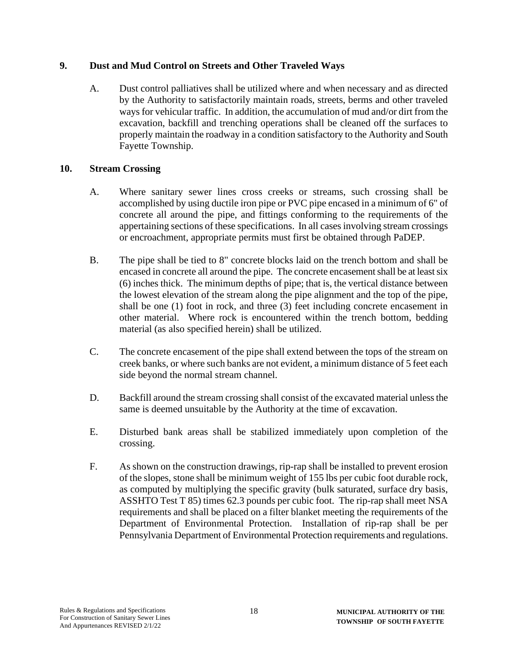### **9. Dust and Mud Control on Streets and Other Traveled Ways**

A. Dust control palliatives shall be utilized where and when necessary and as directed by the Authority to satisfactorily maintain roads, streets, berms and other traveled ways for vehicular traffic. In addition, the accumulation of mud and/or dirt from the excavation, backfill and trenching operations shall be cleaned off the surfaces to properly maintain the roadway in a condition satisfactory to the Authority and South Fayette Township.

## **10. Stream Crossing**

- A. Where sanitary sewer lines cross creeks or streams, such crossing shall be accomplished by using ductile iron pipe or PVC pipe encased in a minimum of 6" of concrete all around the pipe, and fittings conforming to the requirements of the appertaining sections of these specifications. In all cases involving stream crossings or encroachment, appropriate permits must first be obtained through PaDEP.
- B. The pipe shall be tied to 8" concrete blocks laid on the trench bottom and shall be encased in concrete all around the pipe. The concrete encasement shall be at least six (6) inches thick. The minimum depths of pipe; that is, the vertical distance between the lowest elevation of the stream along the pipe alignment and the top of the pipe, shall be one (1) foot in rock, and three (3) feet including concrete encasement in other material. Where rock is encountered within the trench bottom, bedding material (as also specified herein) shall be utilized.
- C. The concrete encasement of the pipe shall extend between the tops of the stream on creek banks, or where such banks are not evident, a minimum distance of 5 feet each side beyond the normal stream channel.
- D. Backfill around the stream crossing shall consist of the excavated material unless the same is deemed unsuitable by the Authority at the time of excavation.
- E. Disturbed bank areas shall be stabilized immediately upon completion of the crossing.
- F. As shown on the construction drawings, rip-rap shall be installed to prevent erosion of the slopes, stone shall be minimum weight of 155 lbs per cubic foot durable rock, as computed by multiplying the specific gravity (bulk saturated, surface dry basis, ASSHTO Test T 85) times 62.3 pounds per cubic foot. The rip-rap shall meet NSA requirements and shall be placed on a filter blanket meeting the requirements of the Department of Environmental Protection. Installation of rip-rap shall be per Pennsylvania Department of Environmental Protection requirements and regulations.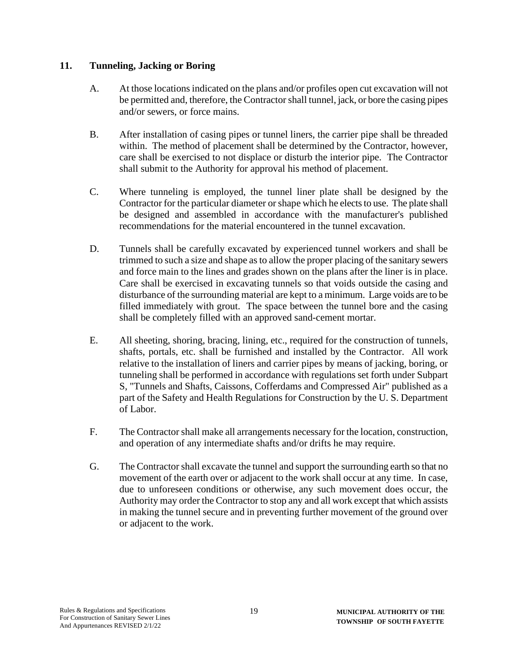#### **11. Tunneling, Jacking or Boring**

- A. At those locations indicated on the plans and/or profiles open cut excavation will not be permitted and, therefore, the Contractor shall tunnel, jack, or bore the casing pipes and/or sewers, or force mains.
- B. After installation of casing pipes or tunnel liners, the carrier pipe shall be threaded within. The method of placement shall be determined by the Contractor, however, care shall be exercised to not displace or disturb the interior pipe. The Contractor shall submit to the Authority for approval his method of placement.
- C. Where tunneling is employed, the tunnel liner plate shall be designed by the Contractor for the particular diameter or shape which he elects to use. The plate shall be designed and assembled in accordance with the manufacturer's published recommendations for the material encountered in the tunnel excavation.
- D. Tunnels shall be carefully excavated by experienced tunnel workers and shall be trimmed to such a size and shape as to allow the proper placing of the sanitary sewers and force main to the lines and grades shown on the plans after the liner is in place. Care shall be exercised in excavating tunnels so that voids outside the casing and disturbance of the surrounding material are kept to a minimum. Large voids are to be filled immediately with grout. The space between the tunnel bore and the casing shall be completely filled with an approved sand-cement mortar.
- E. All sheeting, shoring, bracing, lining, etc., required for the construction of tunnels, shafts, portals, etc. shall be furnished and installed by the Contractor. All work relative to the installation of liners and carrier pipes by means of jacking, boring, or tunneling shall be performed in accordance with regulations set forth under Subpart S, "Tunnels and Shafts, Caissons, Cofferdams and Compressed Air" published as a part of the Safety and Health Regulations for Construction by the U. S. Department of Labor.
- F. The Contractor shall make all arrangements necessary for the location, construction, and operation of any intermediate shafts and/or drifts he may require.
- G. The Contractorshall excavate the tunnel and support the surrounding earth so that no movement of the earth over or adjacent to the work shall occur at any time. In case, due to unforeseen conditions or otherwise, any such movement does occur, the Authority may order the Contractor to stop any and all work except that which assists in making the tunnel secure and in preventing further movement of the ground over or adjacent to the work.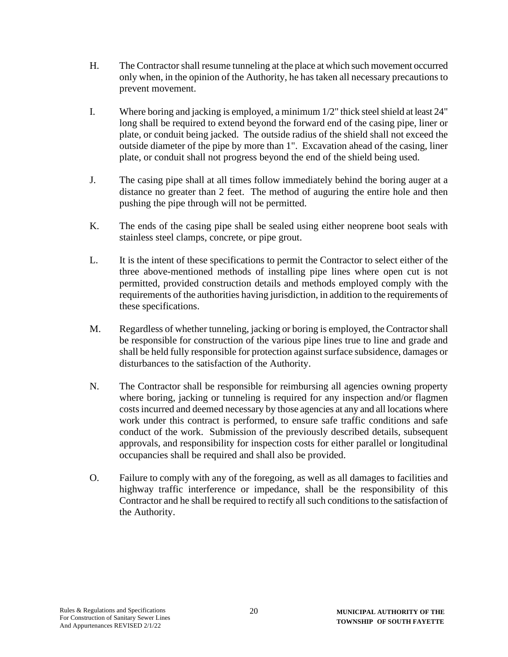- H. The Contractor shall resume tunneling at the place at which such movement occurred only when, in the opinion of the Authority, he has taken all necessary precautions to prevent movement.
- I. Where boring and jacking is employed, a minimum 1/2" thick steel shield at least 24" long shall be required to extend beyond the forward end of the casing pipe, liner or plate, or conduit being jacked. The outside radius of the shield shall not exceed the outside diameter of the pipe by more than 1". Excavation ahead of the casing, liner plate, or conduit shall not progress beyond the end of the shield being used.
- J. The casing pipe shall at all times follow immediately behind the boring auger at a distance no greater than 2 feet. The method of auguring the entire hole and then pushing the pipe through will not be permitted.
- K. The ends of the casing pipe shall be sealed using either neoprene boot seals with stainless steel clamps, concrete, or pipe grout.
- L. It is the intent of these specifications to permit the Contractor to select either of the three above-mentioned methods of installing pipe lines where open cut is not permitted, provided construction details and methods employed comply with the requirements of the authorities having jurisdiction, in addition to the requirements of these specifications.
- M. Regardless of whether tunneling, jacking or boring is employed, the Contractor shall be responsible for construction of the various pipe lines true to line and grade and shall be held fully responsible for protection against surface subsidence, damages or disturbances to the satisfaction of the Authority.
- N. The Contractor shall be responsible for reimbursing all agencies owning property where boring, jacking or tunneling is required for any inspection and/or flagmen costs incurred and deemed necessary by those agencies at any and all locations where work under this contract is performed, to ensure safe traffic conditions and safe conduct of the work. Submission of the previously described details, subsequent approvals, and responsibility for inspection costs for either parallel or longitudinal occupancies shall be required and shall also be provided.
- O. Failure to comply with any of the foregoing, as well as all damages to facilities and highway traffic interference or impedance, shall be the responsibility of this Contractor and he shall be required to rectify all such conditions to the satisfaction of the Authority.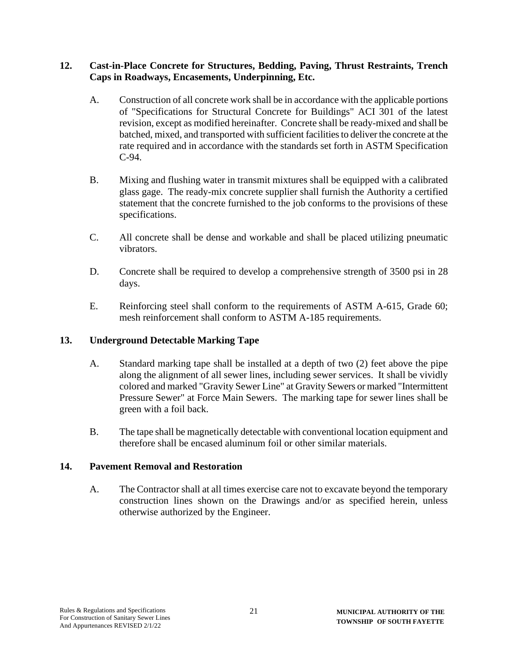#### **12. Cast-in-Place Concrete for Structures, Bedding, Paving, Thrust Restraints, Trench Caps in Roadways, Encasements, Underpinning, Etc.**

- A. Construction of all concrete work shall be in accordance with the applicable portions of "Specifications for Structural Concrete for Buildings" ACI 301 of the latest revision, except as modified hereinafter. Concrete shall be ready-mixed and shall be batched, mixed, and transported with sufficient facilities to deliver the concrete at the rate required and in accordance with the standards set forth in ASTM Specification C-94.
- B. Mixing and flushing water in transmit mixtures shall be equipped with a calibrated glass gage. The ready-mix concrete supplier shall furnish the Authority a certified statement that the concrete furnished to the job conforms to the provisions of these specifications.
- C. All concrete shall be dense and workable and shall be placed utilizing pneumatic vibrators.
- D. Concrete shall be required to develop a comprehensive strength of 3500 psi in 28 days.
- E. Reinforcing steel shall conform to the requirements of ASTM A-615, Grade 60; mesh reinforcement shall conform to ASTM A-185 requirements.

#### **13. Underground Detectable Marking Tape**

- A. Standard marking tape shall be installed at a depth of two (2) feet above the pipe along the alignment of all sewer lines, including sewer services. It shall be vividly colored and marked "Gravity Sewer Line" at Gravity Sewers or marked "Intermittent Pressure Sewer" at Force Main Sewers. The marking tape for sewer lines shall be green with a foil back.
- B. The tape shall be magnetically detectable with conventional location equipment and therefore shall be encased aluminum foil or other similar materials.

#### **14. Pavement Removal and Restoration**

A. The Contractor shall at all times exercise care not to excavate beyond the temporary construction lines shown on the Drawings and/or as specified herein, unless otherwise authorized by the Engineer.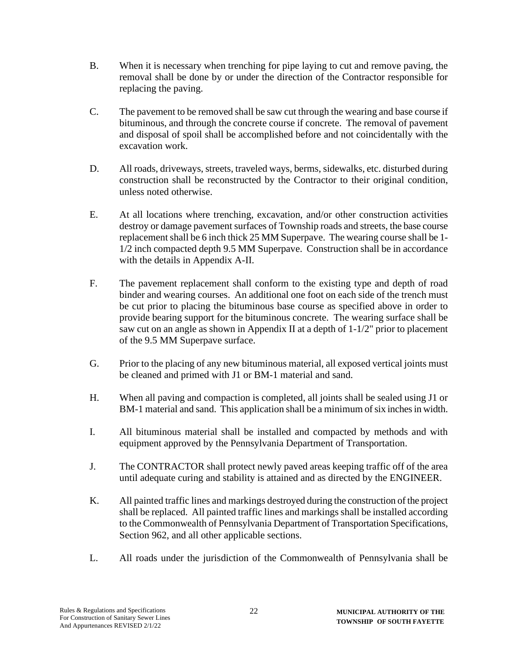- B. When it is necessary when trenching for pipe laying to cut and remove paving, the removal shall be done by or under the direction of the Contractor responsible for replacing the paving.
- C. The pavement to be removed shall be saw cut through the wearing and base course if bituminous, and through the concrete course if concrete. The removal of pavement and disposal of spoil shall be accomplished before and not coincidentally with the excavation work.
- D. All roads, driveways, streets, traveled ways, berms, sidewalks, etc. disturbed during construction shall be reconstructed by the Contractor to their original condition, unless noted otherwise.
- E. At all locations where trenching, excavation, and/or other construction activities destroy or damage pavement surfaces of Township roads and streets, the base course replacement shall be 6 inch thick 25 MM Superpave. The wearing course shall be 1- 1/2 inch compacted depth 9.5 MM Superpave. Construction shall be in accordance with the details in Appendix A-II.
- F. The pavement replacement shall conform to the existing type and depth of road binder and wearing courses. An additional one foot on each side of the trench must be cut prior to placing the bituminous base course as specified above in order to provide bearing support for the bituminous concrete. The wearing surface shall be saw cut on an angle as shown in Appendix II at a depth of 1-1/2" prior to placement of the 9.5 MM Superpave surface.
- G. Prior to the placing of any new bituminous material, all exposed vertical joints must be cleaned and primed with J1 or BM-1 material and sand.
- H. When all paving and compaction is completed, all joints shall be sealed using J1 or BM-1 material and sand. This application shall be a minimum of six inches in width.
- I. All bituminous material shall be installed and compacted by methods and with equipment approved by the Pennsylvania Department of Transportation.
- J. The CONTRACTOR shall protect newly paved areas keeping traffic off of the area until adequate curing and stability is attained and as directed by the ENGINEER.
- K. All painted traffic lines and markings destroyed during the construction of the project shall be replaced. All painted traffic lines and markings shall be installed according to the Commonwealth of Pennsylvania Department of Transportation Specifications, Section 962, and all other applicable sections.
- L. All roads under the jurisdiction of the Commonwealth of Pennsylvania shall be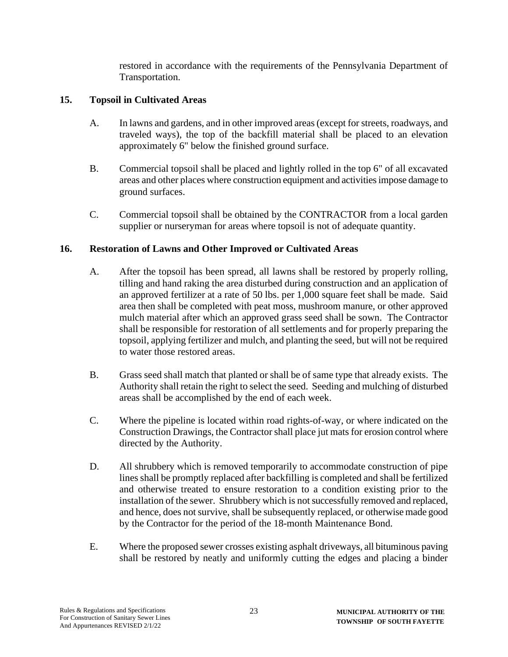restored in accordance with the requirements of the Pennsylvania Department of Transportation.

# **15. Topsoil in Cultivated Areas**

- A. In lawns and gardens, and in other improved areas (except for streets, roadways, and traveled ways), the top of the backfill material shall be placed to an elevation approximately 6" below the finished ground surface.
- B. Commercial topsoil shall be placed and lightly rolled in the top 6" of all excavated areas and other places where construction equipment and activities impose damage to ground surfaces.
- C. Commercial topsoil shall be obtained by the CONTRACTOR from a local garden supplier or nurseryman for areas where topsoil is not of adequate quantity.

## **16. Restoration of Lawns and Other Improved or Cultivated Areas**

- A. After the topsoil has been spread, all lawns shall be restored by properly rolling, tilling and hand raking the area disturbed during construction and an application of an approved fertilizer at a rate of 50 lbs. per 1,000 square feet shall be made. Said area then shall be completed with peat moss, mushroom manure, or other approved mulch material after which an approved grass seed shall be sown. The Contractor shall be responsible for restoration of all settlements and for properly preparing the topsoil, applying fertilizer and mulch, and planting the seed, but will not be required to water those restored areas.
- B. Grass seed shall match that planted or shall be of same type that already exists. The Authority shall retain the right to select the seed. Seeding and mulching of disturbed areas shall be accomplished by the end of each week.
- C. Where the pipeline is located within road rights-of-way, or where indicated on the Construction Drawings, the Contractor shall place jut mats for erosion control where directed by the Authority.
- D. All shrubbery which is removed temporarily to accommodate construction of pipe lines shall be promptly replaced after backfilling is completed and shall be fertilized and otherwise treated to ensure restoration to a condition existing prior to the installation of the sewer. Shrubbery which is not successfully removed and replaced, and hence, does not survive, shall be subsequently replaced, or otherwise made good by the Contractor for the period of the 18-month Maintenance Bond.
- E. Where the proposed sewer crosses existing asphalt driveways, all bituminous paving shall be restored by neatly and uniformly cutting the edges and placing a binder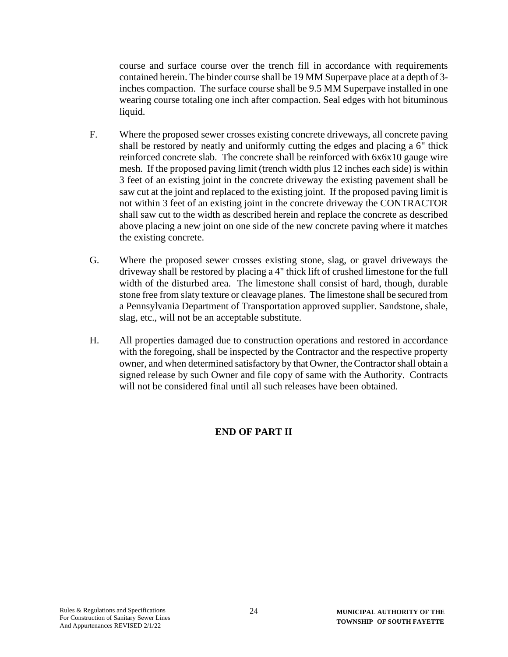course and surface course over the trench fill in accordance with requirements contained herein. The binder course shall be 19 MM Superpave place at a depth of 3 inches compaction. The surface course shall be 9.5 MM Superpave installed in one wearing course totaling one inch after compaction. Seal edges with hot bituminous liquid.

- F. Where the proposed sewer crosses existing concrete driveways, all concrete paving shall be restored by neatly and uniformly cutting the edges and placing a 6" thick reinforced concrete slab. The concrete shall be reinforced with 6x6x10 gauge wire mesh. If the proposed paving limit (trench width plus 12 inches each side) is within 3 feet of an existing joint in the concrete driveway the existing pavement shall be saw cut at the joint and replaced to the existing joint. If the proposed paving limit is not within 3 feet of an existing joint in the concrete driveway the CONTRACTOR shall saw cut to the width as described herein and replace the concrete as described above placing a new joint on one side of the new concrete paving where it matches the existing concrete.
- G. Where the proposed sewer crosses existing stone, slag, or gravel driveways the driveway shall be restored by placing a 4" thick lift of crushed limestone for the full width of the disturbed area. The limestone shall consist of hard, though, durable stone free from slaty texture or cleavage planes. The limestone shall be secured from a Pennsylvania Department of Transportation approved supplier. Sandstone, shale, slag, etc., will not be an acceptable substitute.
- H. All properties damaged due to construction operations and restored in accordance with the foregoing, shall be inspected by the Contractor and the respective property owner, and when determined satisfactory by that Owner, the Contractor shall obtain a signed release by such Owner and file copy of same with the Authority. Contracts will not be considered final until all such releases have been obtained.

# **END OF PART II**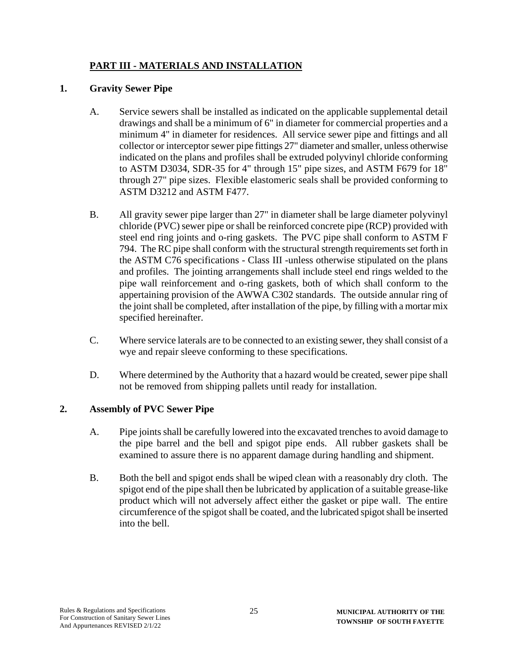# **PART III - MATERIALS AND INSTALLATION**

# **1. Gravity Sewer Pipe**

- A. Service sewers shall be installed as indicated on the applicable supplemental detail drawings and shall be a minimum of 6" in diameter for commercial properties and a minimum 4" in diameter for residences. All service sewer pipe and fittings and all collector or interceptor sewer pipe fittings 27" diameter and smaller, unless otherwise indicated on the plans and profiles shall be extruded polyvinyl chloride conforming to ASTM D3034, SDR-35 for 4" through 15" pipe sizes, and ASTM F679 for 18" through 27" pipe sizes. Flexible elastomeric seals shall be provided conforming to ASTM D3212 and ASTM F477.
- B. All gravity sewer pipe larger than 27" in diameter shall be large diameter polyvinyl chloride (PVC) sewer pipe or shall be reinforced concrete pipe (RCP) provided with steel end ring joints and o-ring gaskets. The PVC pipe shall conform to ASTM F 794. The RC pipe shall conform with the structural strength requirements set forth in the ASTM C76 specifications - Class III -unless otherwise stipulated on the plans and profiles. The jointing arrangements shall include steel end rings welded to the pipe wall reinforcement and o-ring gaskets, both of which shall conform to the appertaining provision of the AWWA C302 standards. The outside annular ring of the joint shall be completed, after installation of the pipe, by filling with a mortar mix specified hereinafter.
- C. Where service laterals are to be connected to an existing sewer, they shall consist of a wye and repair sleeve conforming to these specifications.
- D. Where determined by the Authority that a hazard would be created, sewer pipe shall not be removed from shipping pallets until ready for installation.

#### **2. Assembly of PVC Sewer Pipe**

- A. Pipe joints shall be carefully lowered into the excavated trenches to avoid damage to the pipe barrel and the bell and spigot pipe ends. All rubber gaskets shall be examined to assure there is no apparent damage during handling and shipment.
- B. Both the bell and spigot ends shall be wiped clean with a reasonably dry cloth. The spigot end of the pipe shall then be lubricated by application of a suitable grease-like product which will not adversely affect either the gasket or pipe wall. The entire circumference of the spigot shall be coated, and the lubricated spigot shall be inserted into the bell.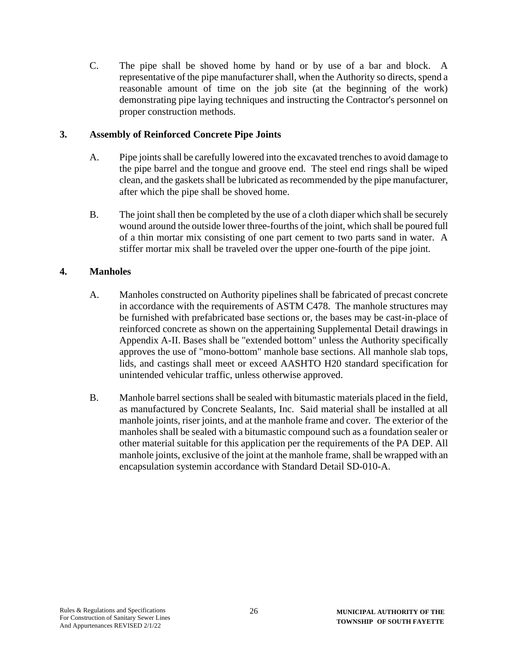C. The pipe shall be shoved home by hand or by use of a bar and block. A representative of the pipe manufacturer shall, when the Authority so directs, spend a reasonable amount of time on the job site (at the beginning of the work) demonstrating pipe laying techniques and instructing the Contractor's personnel on proper construction methods.

## **3. Assembly of Reinforced Concrete Pipe Joints**

- A. Pipe joints shall be carefully lowered into the excavated trenches to avoid damage to the pipe barrel and the tongue and groove end. The steel end rings shall be wiped clean, and the gaskets shall be lubricated as recommended by the pipe manufacturer, after which the pipe shall be shoved home.
- B. The joint shall then be completed by the use of a cloth diaper which shall be securely wound around the outside lower three-fourths of the joint, which shall be poured full of a thin mortar mix consisting of one part cement to two parts sand in water. A stiffer mortar mix shall be traveled over the upper one-fourth of the pipe joint.

# **4. Manholes**

- A. Manholes constructed on Authority pipelines shall be fabricated of precast concrete in accordance with the requirements of ASTM C478. The manhole structures may be furnished with prefabricated base sections or, the bases may be cast-in-place of reinforced concrete as shown on the appertaining Supplemental Detail drawings in Appendix A-II. Bases shall be "extended bottom" unless the Authority specifically approves the use of "mono-bottom" manhole base sections. All manhole slab tops, lids, and castings shall meet or exceed AASHTO H20 standard specification for unintended vehicular traffic, unless otherwise approved.
- B. Manhole barrel sections shall be sealed with bitumastic materials placed in the field, as manufactured by Concrete Sealants, Inc. Said material shall be installed at all manhole joints, riser joints, and at the manhole frame and cover. The exterior of the manholes shall be sealed with a bitumastic compound such as a foundation sealer or other material suitable for this application per the requirements of the PA DEP. All manhole joints, exclusive of the joint at the manhole frame, shall be wrapped with an encapsulation systemin accordance with Standard Detail SD-010-A.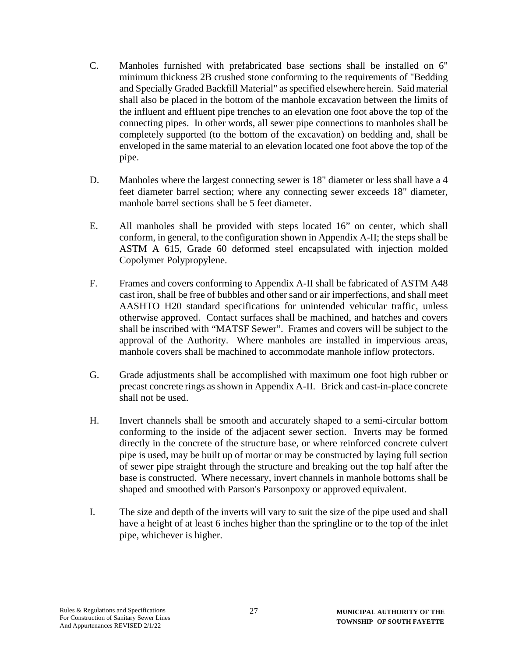- C. Manholes furnished with prefabricated base sections shall be installed on 6" minimum thickness 2B crushed stone conforming to the requirements of "Bedding and Specially Graded Backfill Material" as specified elsewhere herein. Said material shall also be placed in the bottom of the manhole excavation between the limits of the influent and effluent pipe trenches to an elevation one foot above the top of the connecting pipes. In other words, all sewer pipe connections to manholes shall be completely supported (to the bottom of the excavation) on bedding and, shall be enveloped in the same material to an elevation located one foot above the top of the pipe.
- D. Manholes where the largest connecting sewer is 18" diameter or less shall have a 4 feet diameter barrel section; where any connecting sewer exceeds 18" diameter, manhole barrel sections shall be 5 feet diameter.
- E. All manholes shall be provided with steps located 16" on center, which shall conform, in general, to the configuration shown in Appendix A-II; the steps shall be ASTM A 615, Grade 60 deformed steel encapsulated with injection molded Copolymer Polypropylene.
- F. Frames and covers conforming to Appendix A-II shall be fabricated of ASTM A48 cast iron, shall be free of bubbles and other sand or air imperfections, and shall meet AASHTO H20 standard specifications for unintended vehicular traffic, unless otherwise approved. Contact surfaces shall be machined, and hatches and covers shall be inscribed with "MATSF Sewer". Frames and covers will be subject to the approval of the Authority. Where manholes are installed in impervious areas, manhole covers shall be machined to accommodate manhole inflow protectors.
- G. Grade adjustments shall be accomplished with maximum one foot high rubber or precast concrete rings as shown in Appendix A-II. Brick and cast-in-place concrete shall not be used.
- H. Invert channels shall be smooth and accurately shaped to a semi-circular bottom conforming to the inside of the adjacent sewer section. Inverts may be formed directly in the concrete of the structure base, or where reinforced concrete culvert pipe is used, may be built up of mortar or may be constructed by laying full section of sewer pipe straight through the structure and breaking out the top half after the base is constructed. Where necessary, invert channels in manhole bottoms shall be shaped and smoothed with Parson's Parsonpoxy or approved equivalent.
- I. The size and depth of the inverts will vary to suit the size of the pipe used and shall have a height of at least 6 inches higher than the springline or to the top of the inlet pipe, whichever is higher.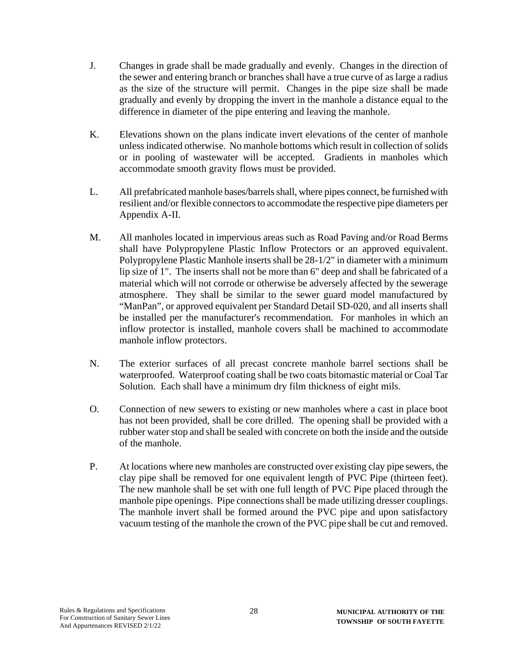- J. Changes in grade shall be made gradually and evenly. Changes in the direction of the sewer and entering branch or branches shall have a true curve of as large a radius as the size of the structure will permit. Changes in the pipe size shall be made gradually and evenly by dropping the invert in the manhole a distance equal to the difference in diameter of the pipe entering and leaving the manhole.
- K. Elevations shown on the plans indicate invert elevations of the center of manhole unless indicated otherwise. No manhole bottoms which result in collection of solids or in pooling of wastewater will be accepted. Gradients in manholes which accommodate smooth gravity flows must be provided.
- L. All prefabricated manhole bases/barrels shall, where pipes connect, be furnished with resilient and/or flexible connectors to accommodate the respective pipe diameters per Appendix A-II.
- M. All manholes located in impervious areas such as Road Paving and/or Road Berms shall have Polypropylene Plastic Inflow Protectors or an approved equivalent. Polypropylene Plastic Manhole inserts shall be 28-1/2" in diameter with a minimum lip size of 1". The inserts shall not be more than 6" deep and shall be fabricated of a material which will not corrode or otherwise be adversely affected by the sewerage atmosphere. They shall be similar to the sewer guard model manufactured by "ManPan", or approved equivalent per Standard Detail SD-020, and all inserts shall be installed per the manufacturer's recommendation. For manholes in which an inflow protector is installed, manhole covers shall be machined to accommodate manhole inflow protectors.
- N. The exterior surfaces of all precast concrete manhole barrel sections shall be waterproofed. Waterproof coating shall be two coats bitomastic material or Coal Tar Solution. Each shall have a minimum dry film thickness of eight mils.
- O. Connection of new sewers to existing or new manholes where a cast in place boot has not been provided, shall be core drilled. The opening shall be provided with a rubber water stop and shall be sealed with concrete on both the inside and the outside of the manhole.
- P. At locations where new manholes are constructed over existing clay pipe sewers, the clay pipe shall be removed for one equivalent length of PVC Pipe (thirteen feet). The new manhole shall be set with one full length of PVC Pipe placed through the manhole pipe openings. Pipe connections shall be made utilizing dresser couplings. The manhole invert shall be formed around the PVC pipe and upon satisfactory vacuum testing of the manhole the crown of the PVC pipe shall be cut and removed.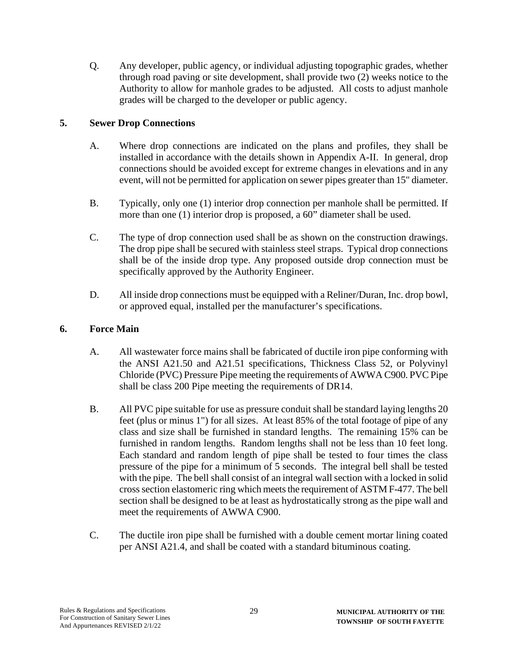Q. Any developer, public agency, or individual adjusting topographic grades, whether through road paving or site development, shall provide two (2) weeks notice to the Authority to allow for manhole grades to be adjusted. All costs to adjust manhole grades will be charged to the developer or public agency.

# **5. Sewer Drop Connections**

- A. Where drop connections are indicated on the plans and profiles, they shall be installed in accordance with the details shown in Appendix A-II. In general, drop connections should be avoided except for extreme changes in elevations and in any event, will not be permitted for application on sewer pipes greater than 15" diameter.
- B. Typically, only one (1) interior drop connection per manhole shall be permitted. If more than one (1) interior drop is proposed, a 60" diameter shall be used.
- C. The type of drop connection used shall be as shown on the construction drawings. The drop pipe shall be secured with stainless steel straps. Typical drop connections shall be of the inside drop type. Any proposed outside drop connection must be specifically approved by the Authority Engineer.
- D. All inside drop connections must be equipped with a Reliner/Duran, Inc. drop bowl, or approved equal, installed per the manufacturer's specifications.

## **6. Force Main**

- A. All wastewater force mains shall be fabricated of ductile iron pipe conforming with the ANSI A21.50 and A21.51 specifications, Thickness Class 52, or Polyvinyl Chloride (PVC) Pressure Pipe meeting the requirements of AWWA C900. PVC Pipe shall be class 200 Pipe meeting the requirements of DR14.
- B. All PVC pipe suitable for use as pressure conduit shall be standard laying lengths 20 feet (plus or minus 1") for all sizes. At least 85% of the total footage of pipe of any class and size shall be furnished in standard lengths. The remaining 15% can be furnished in random lengths. Random lengths shall not be less than 10 feet long. Each standard and random length of pipe shall be tested to four times the class pressure of the pipe for a minimum of 5 seconds. The integral bell shall be tested with the pipe. The bell shall consist of an integral wall section with a locked in solid cross section elastomeric ring which meets the requirement of ASTM F-477. The bell section shall be designed to be at least as hydrostatically strong as the pipe wall and meet the requirements of AWWA C900.
- C. The ductile iron pipe shall be furnished with a double cement mortar lining coated per ANSI A21.4, and shall be coated with a standard bituminous coating.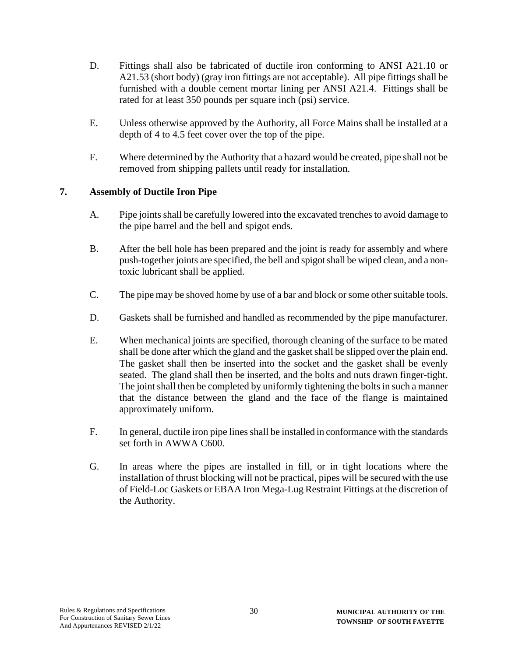- D. Fittings shall also be fabricated of ductile iron conforming to ANSI A21.10 or A21.53 (short body) (gray iron fittings are not acceptable). All pipe fittings shall be furnished with a double cement mortar lining per ANSI A21.4. Fittings shall be rated for at least 350 pounds per square inch (psi) service.
- E. Unless otherwise approved by the Authority, all Force Mains shall be installed at a depth of 4 to 4.5 feet cover over the top of the pipe.
- F. Where determined by the Authority that a hazard would be created, pipe shall not be removed from shipping pallets until ready for installation.

## **7. Assembly of Ductile Iron Pipe**

- A. Pipe joints shall be carefully lowered into the excavated trenches to avoid damage to the pipe barrel and the bell and spigot ends.
- B. After the bell hole has been prepared and the joint is ready for assembly and where push-together joints are specified, the bell and spigot shall be wiped clean, and a nontoxic lubricant shall be applied.
- C. The pipe may be shoved home by use of a bar and block or some other suitable tools.
- D. Gaskets shall be furnished and handled as recommended by the pipe manufacturer.
- E. When mechanical joints are specified, thorough cleaning of the surface to be mated shall be done after which the gland and the gasket shall be slipped over the plain end. The gasket shall then be inserted into the socket and the gasket shall be evenly seated. The gland shall then be inserted, and the bolts and nuts drawn finger-tight. The joint shall then be completed by uniformly tightening the bolts in such a manner that the distance between the gland and the face of the flange is maintained approximately uniform.
- F. In general, ductile iron pipe lines shall be installed in conformance with the standards set forth in AWWA C600.
- G. In areas where the pipes are installed in fill, or in tight locations where the installation of thrust blocking will not be practical, pipes will be secured with the use of Field-Loc Gaskets or EBAA Iron Mega-Lug Restraint Fittings at the discretion of the Authority.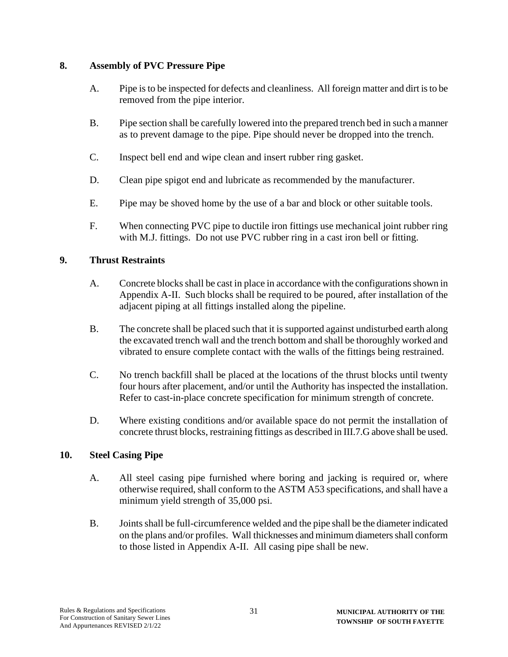## **8. Assembly of PVC Pressure Pipe**

- A. Pipe is to be inspected for defects and cleanliness. All foreign matter and dirt is to be removed from the pipe interior.
- B. Pipe section shall be carefully lowered into the prepared trench bed in such a manner as to prevent damage to the pipe. Pipe should never be dropped into the trench.
- C. Inspect bell end and wipe clean and insert rubber ring gasket.
- D. Clean pipe spigot end and lubricate as recommended by the manufacturer.
- E. Pipe may be shoved home by the use of a bar and block or other suitable tools.
- F. When connecting PVC pipe to ductile iron fittings use mechanical joint rubber ring with M.J. fittings. Do not use PVC rubber ring in a cast iron bell or fitting.

## **9. Thrust Restraints**

- A. Concrete blocks shall be cast in place in accordance with the configurations shown in Appendix A-II. Such blocks shall be required to be poured, after installation of the adjacent piping at all fittings installed along the pipeline.
- B. The concrete shall be placed such that it is supported against undisturbed earth along the excavated trench wall and the trench bottom and shall be thoroughly worked and vibrated to ensure complete contact with the walls of the fittings being restrained.
- C. No trench backfill shall be placed at the locations of the thrust blocks until twenty four hours after placement, and/or until the Authority has inspected the installation. Refer to cast-in-place concrete specification for minimum strength of concrete.
- D. Where existing conditions and/or available space do not permit the installation of concrete thrust blocks, restraining fittings as described in III.7.G above shall be used.

#### **10. Steel Casing Pipe**

- A. All steel casing pipe furnished where boring and jacking is required or, where otherwise required, shall conform to the ASTM A53 specifications, and shall have a minimum yield strength of 35,000 psi.
- B. Joints shall be full-circumference welded and the pipe shall be the diameter indicated on the plans and/or profiles. Wall thicknesses and minimum diameters shall conform to those listed in Appendix A-II. All casing pipe shall be new.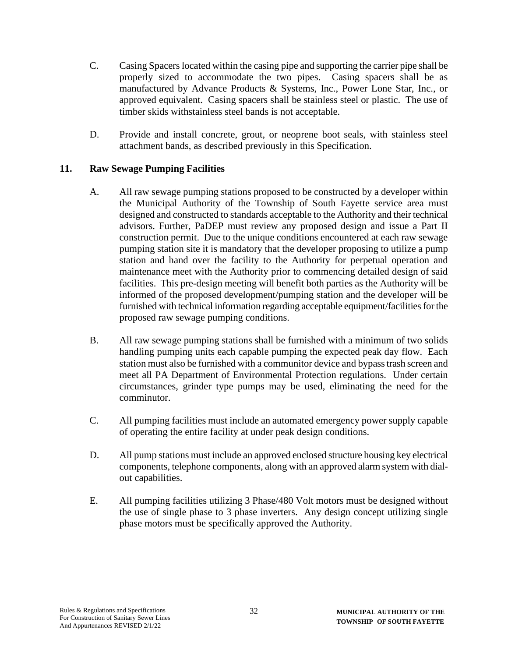- C. Casing Spacers located within the casing pipe and supporting the carrier pipe shall be properly sized to accommodate the two pipes. Casing spacers shall be as manufactured by Advance Products & Systems, Inc., Power Lone Star, Inc., or approved equivalent. Casing spacers shall be stainless steel or plastic. The use of timber skids withstainless steel bands is not acceptable.
- D. Provide and install concrete, grout, or neoprene boot seals, with stainless steel attachment bands, as described previously in this Specification.

## **11. Raw Sewage Pumping Facilities**

- A. All raw sewage pumping stations proposed to be constructed by a developer within the Municipal Authority of the Township of South Fayette service area must designed and constructed to standards acceptable to the Authority and their technical advisors. Further, PaDEP must review any proposed design and issue a Part II construction permit. Due to the unique conditions encountered at each raw sewage pumping station site it is mandatory that the developer proposing to utilize a pump station and hand over the facility to the Authority for perpetual operation and maintenance meet with the Authority prior to commencing detailed design of said facilities. This pre-design meeting will benefit both parties as the Authority will be informed of the proposed development/pumping station and the developer will be furnished with technical information regarding acceptable equipment/facilities for the proposed raw sewage pumping conditions.
- B. All raw sewage pumping stations shall be furnished with a minimum of two solids handling pumping units each capable pumping the expected peak day flow. Each station must also be furnished with a communitor device and bypass trash screen and meet all PA Department of Environmental Protection regulations. Under certain circumstances, grinder type pumps may be used, eliminating the need for the comminutor.
- C. All pumping facilities must include an automated emergency power supply capable of operating the entire facility at under peak design conditions.
- D. All pump stations must include an approved enclosed structure housing key electrical components, telephone components, along with an approved alarm system with dialout capabilities.
- E. All pumping facilities utilizing 3 Phase/480 Volt motors must be designed without the use of single phase to 3 phase inverters. Any design concept utilizing single phase motors must be specifically approved the Authority.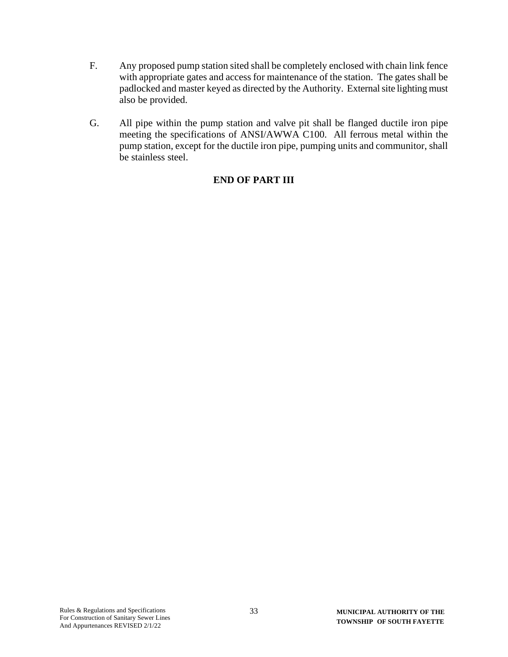- F. Any proposed pump station sited shall be completely enclosed with chain link fence with appropriate gates and access for maintenance of the station. The gates shall be padlocked and master keyed as directed by the Authority. External site lighting must also be provided.
- G. All pipe within the pump station and valve pit shall be flanged ductile iron pipe meeting the specifications of ANSI/AWWA C100. All ferrous metal within the pump station, except for the ductile iron pipe, pumping units and communitor, shall be stainless steel.

# **END OF PART III**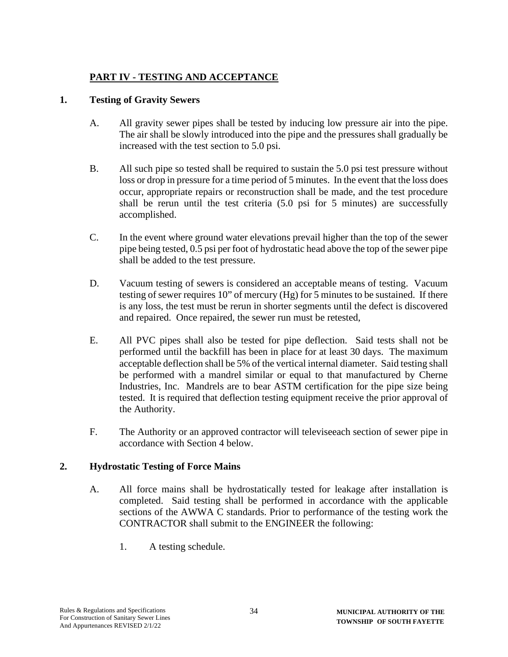# **PART IV - TESTING AND ACCEPTANCE**

## **1. Testing of Gravity Sewers**

- A. All gravity sewer pipes shall be tested by inducing low pressure air into the pipe. The air shall be slowly introduced into the pipe and the pressures shall gradually be increased with the test section to 5.0 psi.
- B. All such pipe so tested shall be required to sustain the 5.0 psi test pressure without loss or drop in pressure for a time period of 5 minutes. In the event that the loss does occur, appropriate repairs or reconstruction shall be made, and the test procedure shall be rerun until the test criteria (5.0 psi for 5 minutes) are successfully accomplished.
- C. In the event where ground water elevations prevail higher than the top of the sewer pipe being tested, 0.5 psi per foot of hydrostatic head above the top of the sewer pipe shall be added to the test pressure.
- D. Vacuum testing of sewers is considered an acceptable means of testing. Vacuum testing of sewer requires 10" of mercury (Hg) for 5 minutes to be sustained. If there is any loss, the test must be rerun in shorter segments until the defect is discovered and repaired. Once repaired, the sewer run must be retested,
- E. All PVC pipes shall also be tested for pipe deflection. Said tests shall not be performed until the backfill has been in place for at least 30 days. The maximum acceptable deflection shall be 5% of the vertical internal diameter. Said testing shall be performed with a mandrel similar or equal to that manufactured by Cherne Industries, Inc. Mandrels are to bear ASTM certification for the pipe size being tested. It is required that deflection testing equipment receive the prior approval of the Authority.
- F. The Authority or an approved contractor will televiseeach section of sewer pipe in accordance with Section 4 below.

#### **2. Hydrostatic Testing of Force Mains**

- A. All force mains shall be hydrostatically tested for leakage after installation is completed. Said testing shall be performed in accordance with the applicable sections of the AWWA C standards. Prior to performance of the testing work the CONTRACTOR shall submit to the ENGINEER the following:
	- 1. A testing schedule.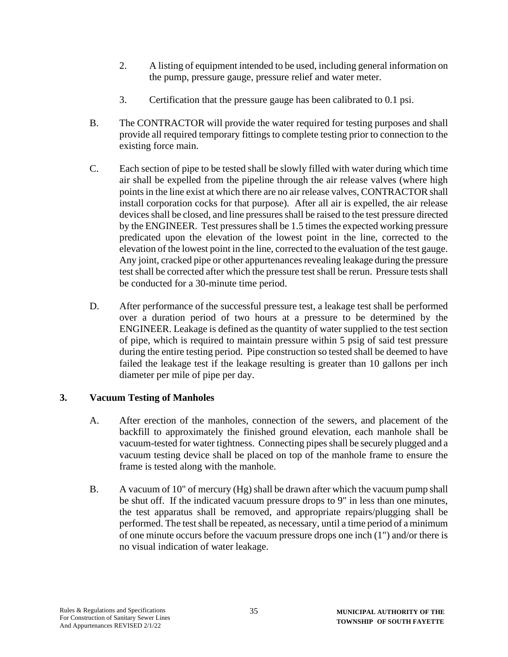- 2. A listing of equipment intended to be used, including general information on the pump, pressure gauge, pressure relief and water meter.
- 3. Certification that the pressure gauge has been calibrated to 0.1 psi.
- B. The CONTRACTOR will provide the water required for testing purposes and shall provide all required temporary fittings to complete testing prior to connection to the existing force main.
- C. Each section of pipe to be tested shall be slowly filled with water during which time air shall be expelled from the pipeline through the air release valves (where high points in the line exist at which there are no air release valves, CONTRACTOR shall install corporation cocks for that purpose). After all air is expelled, the air release devices shall be closed, and line pressures shall be raised to the test pressure directed by the ENGINEER. Test pressures shall be 1.5 times the expected working pressure predicated upon the elevation of the lowest point in the line, corrected to the elevation of the lowest point in the line, corrected to the evaluation of the test gauge. Any joint, cracked pipe or other appurtenances revealing leakage during the pressure test shall be corrected after which the pressure test shall be rerun. Pressure tests shall be conducted for a 30-minute time period.
- D. After performance of the successful pressure test, a leakage test shall be performed over a duration period of two hours at a pressure to be determined by the ENGINEER. Leakage is defined as the quantity of water supplied to the test section of pipe, which is required to maintain pressure within 5 psig of said test pressure during the entire testing period. Pipe construction so tested shall be deemed to have failed the leakage test if the leakage resulting is greater than 10 gallons per inch diameter per mile of pipe per day.

#### **3. Vacuum Testing of Manholes**

- A. After erection of the manholes, connection of the sewers, and placement of the backfill to approximately the finished ground elevation, each manhole shall be vacuum-tested for water tightness. Connecting pipes shall be securely plugged and a vacuum testing device shall be placed on top of the manhole frame to ensure the frame is tested along with the manhole.
- B. A vacuum of 10" of mercury (Hg) shall be drawn after which the vacuum pump shall be shut off. If the indicated vacuum pressure drops to 9" in less than one minutes, the test apparatus shall be removed, and appropriate repairs/plugging shall be performed. The test shall be repeated, as necessary, until a time period of a minimum of one minute occurs before the vacuum pressure drops one inch (1") and/or there is no visual indication of water leakage.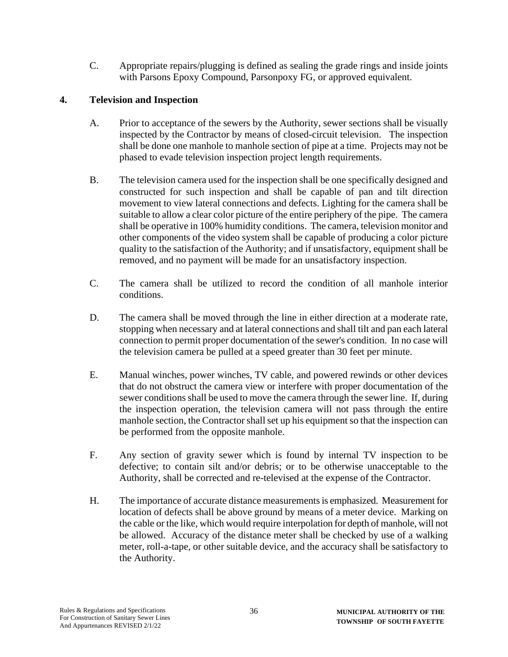C. Appropriate repairs/plugging is defined as sealing the grade rings and inside joints with Parsons Epoxy Compound, Parsonpoxy FG, or approved equivalent.

# **4. Television and Inspection**

- A. Prior to acceptance of the sewers by the Authority, sewer sections shall be visually inspected by the Contractor by means of closed-circuit television. The inspection shall be done one manhole to manhole section of pipe at a time. Projects may not be phased to evade television inspection project length requirements.
- B. The television camera used for the inspection shall be one specifically designed and constructed for such inspection and shall be capable of pan and tilt direction movement to view lateral connections and defects. Lighting for the camera shall be suitable to allow a clear color picture of the entire periphery of the pipe. The camera shall be operative in 100% humidity conditions. The camera, television monitor and other components of the video system shall be capable of producing a color picture quality to the satisfaction of the Authority; and if unsatisfactory, equipment shall be removed, and no payment will be made for an unsatisfactory inspection.
- C. The camera shall be utilized to record the condition of all manhole interior conditions.
- D. The camera shall be moved through the line in either direction at a moderate rate, stopping when necessary and at lateral connections and shall tilt and pan each lateral connection to permit proper documentation of the sewer's condition. In no case will the television camera be pulled at a speed greater than 30 feet per minute.
- E. Manual winches, power winches, TV cable, and powered rewinds or other devices that do not obstruct the camera view or interfere with proper documentation of the sewer conditions shall be used to move the camera through the sewer line. If, during the inspection operation, the television camera will not pass through the entire manhole section, the Contractor shall set up his equipment so that the inspection can be performed from the opposite manhole.
- F. Any section of gravity sewer which is found by internal TV inspection to be defective; to contain silt and/or debris; or to be otherwise unacceptable to the Authority, shall be corrected and re-televised at the expense of the Contractor.
- H. The importance of accurate distance measurements is emphasized. Measurement for location of defects shall be above ground by means of a meter device. Marking on the cable or the like, which would require interpolation for depth of manhole, will not be allowed. Accuracy of the distance meter shall be checked by use of a walking meter, roll-a-tape, or other suitable device, and the accuracy shall be satisfactory to the Authority.